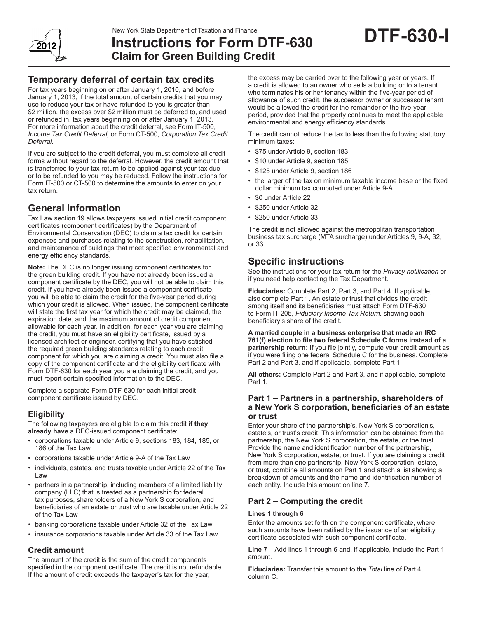

# **Instructions for Form DTF-630 Claim for Green Building Credit**

# **Temporary deferral of certain tax credits**

For tax years beginning on or after January 1, 2010, and before January 1, 2013, if the total amount of certain credits that you may use to reduce your tax or have refunded to you is greater than \$2 million, the excess over \$2 million must be deferred to, and used or refunded in, tax years beginning on or after January 1, 2013. For more information about the credit deferral, see Form IT-500, *Income Tax Credit Deferral,* or Form CT-500, *Corporation Tax Credit Deferral*.

If you are subject to the credit deferral, you must complete all credit forms without regard to the deferral. However, the credit amount that is transferred to your tax return to be applied against your tax due or to be refunded to you may be reduced. Follow the instructions for Form IT-500 or CT-500 to determine the amounts to enter on your tax return.

# **General information**

Tax Law section 19 allows taxpayers issued initial credit component certificates (component certificates) by the Department of Environmental Conservation (DEC) to claim a tax credit for certain expenses and purchases relating to the construction, rehabilitation, and maintenance of buildings that meet specified environmental and energy efficiency standards.

**Note:** The DEC is no longer issuing component certificates for the green building credit. If you have not already been issued a component certificate by the DEC, you will not be able to claim this credit. If you have already been issued a component certificate, you will be able to claim the credit for the five-year period during which your credit is allowed. When issued, the component certificate will state the first tax year for which the credit may be claimed, the expiration date, and the maximum amount of credit component allowable for each year. In addition, for each year you are claiming the credit, you must have an eligibility certificate, issued by a licensed architect or engineer, certifying that you have satisfied the required green building standards relating to each credit component for which you are claiming a credit. You must also file a copy of the component certificate and the eligibility certificate with Form DTF-630 for each year you are claiming the credit, and you must report certain specified information to the DEC.

Complete a separate Form DTF-630 for each initial credit component certificate issued by DEC.

## **Eligibility**

The following taxpayers are eligible to claim this credit **if they already have** a DEC-issued component certificate:

- corporations taxable under Article 9, sections 183, 184, 185, or 186 of the Tax Law
- corporations taxable under Article 9-A of the Tax Law
- individuals, estates, and trusts taxable under Article 22 of the Tax Law
- partners in a partnership, including members of a limited liability company (LLC) that is treated as a partnership for federal tax purposes, shareholders of a New York S corporation, and beneficiaries of an estate or trust who are taxable under Article 22 of the Tax Law
- banking corporations taxable under Article 32 of the Tax Law
- insurance corporations taxable under Article 33 of the Tax Law

# **Credit amount**

The amount of the credit is the sum of the credit components specified in the component certificate. The credit is not refundable. If the amount of credit exceeds the taxpayer's tax for the year,

the excess may be carried over to the following year or years. If a credit is allowed to an owner who sells a building or to a tenant who terminates his or her tenancy within the five-year period of allowance of such credit, the successor owner or successor tenant would be allowed the credit for the remainder of the five-year period, provided that the property continues to meet the applicable environmental and energy efficiency standards.

**DTF-630-I**

The credit cannot reduce the tax to less than the following statutory minimum taxes:

- \$75 under Article 9, section 183
- \$10 under Article 9, section 185
- \$125 under Article 9, section 186
- the larger of the tax on minimum taxable income base or the fixed dollar minimum tax computed under Article 9-A
- \$0 under Article 22
- \$250 under Article 32
- \$250 under Article 33

The credit is not allowed against the metropolitan transportation business tax surcharge (MTA surcharge) under Articles 9, 9-A, 32, or 33.

# **Specific instructions**

See the instructions for your tax return for the *Privacy notification* or if you need help contacting the Tax Department.

**Fiduciaries:** Complete Part 2, Part 3, and Part 4. If applicable, also complete Part 1. An estate or trust that divides the credit among itself and its beneficiaries must attach Form DTF-630 to Form IT-205, *Fiduciary Income Tax Return,* showing each beneficiary's share of the credit.

**A married couple in a business enterprise that made an IRC 761(f) election to file two federal Schedule C forms instead of a partnership return:** If you file jointly, compute your credit amount as if you were filing one federal Schedule C for the business. Complete Part 2 and Part 3, and if applicable, complete Part 1.

**All others:** Complete Part 2 and Part 3, and if applicable, complete Part 1.

### **Part 1 – Partners in a partnership, shareholders of a New York S corporation, beneficiaries of an estate or trust**

Enter your share of the partnership's, New York S corporation's, estate's, or trust's credit. This information can be obtained from the partnership, the New York S corporation, the estate, or the trust. Provide the name and identification number of the partnership, New York S corporation, estate, or trust. If you are claiming a credit from more than one partnership, New York S corporation, estate, or trust, combine all amounts on Part 1 and attach a list showing a breakdown of amounts and the name and identification number of each entity. Include this amount on line 7.

## **Part 2 – Computing the credit**

#### **Lines 1 through 6**

Enter the amounts set forth on the component certificate, where such amounts have been ratified by the issuance of an eligibility certificate associated with such component certificate.

**Line 7 –** Add lines 1 through 6 and, if applicable, include the Part 1 amount.

**Fiduciaries:** Transfer this amount to the *Total* line of Part 4, column C.